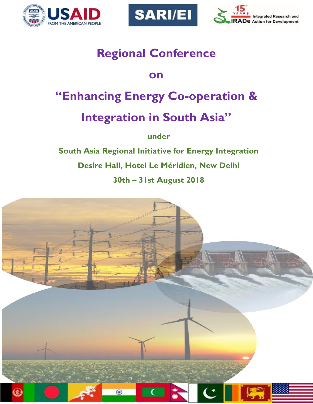





# **Regional Conference**

### **on**

# **"Enhancing Energy Co-operation &**

# **Integration in South Asia"**

**under**

**South Asia Regional Initiative for Energy Integration Desire Hall, Hotel Le Méridien, New Delhi 30th – 31st August 2018**

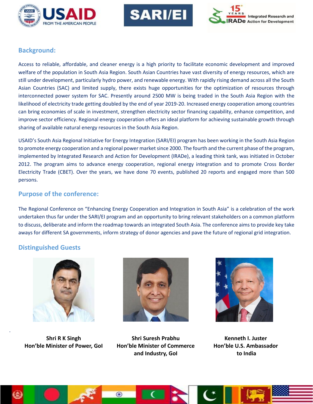





#### **Background:**

Access to reliable, affordable, and cleaner energy is a high priority to facilitate economic development and improved welfare of the population in South Asia Region. South Asian Countries have vast diversity of energy resources, which are still under development, particularly hydro power, and renewable energy. With rapidly rising demand across all the South Asian Countries (SAC) and limited supply, there exists huge opportunities for the optimization of resources through interconnected power system for SAC. Presently around 2500 MW is being traded in the South Asia Region with the likelihood of electricity trade getting doubled by the end of year 2019-20. Increased energy cooperation among countries can bring economies of scale in investment, strengthen electricity sector financing capability, enhance competition, and improve sector efficiency. Regional energy cooperation offers an ideal platform for achieving sustainable growth through sharing of available natural energy resources in the South Asia Region.

USAID's South Asia Regional Initiative for Energy Integration (SARI/EI) program has been working in the South Asia Region to promote energy cooperation and a regional power market since 2000. The fourth and the current phase of the program, implemented by Integrated Research and Action for Development (IRADe), a leading think tank, was initiated in October 2012. The program aims to advance energy cooperation, regional energy integration and to promote Cross Border Electricity Trade (CBET). Over the years, we have done 70 events, published 20 reports and engaged more than 500 persons.

#### **Purpose of the conference:**

The Regional Conference on "Enhancing Energy Cooperation and Integration in South Asia" is a celebration of the work undertaken thus far under the SARI/EI program and an opportunity to bring relevant stakeholders on a common platform to discuss, deliberate and inform the roadmap towards an integrated South Asia. The conference aims to provide key take aways for different SA governments, inform strategy of donor agencies and pave the future of regional grid integration.

#### **Distinguished Guests**



**Shri R K Singh Hon'ble Minister of Power, GoI**



**Shri Suresh Prabhu Hon'ble Minister of Commerce and Industry, GoI**

 $\bullet$ 



**Kenneth I. Juster Hon'ble U.S. Ambassador to India**

.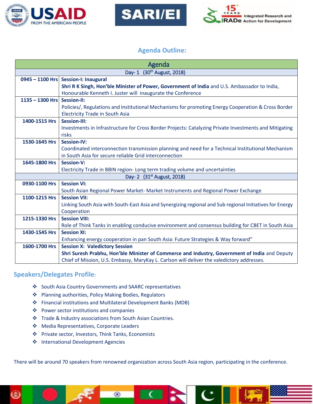





#### **Agenda Outline:**

| Agenda                                 |                                                                                                          |
|----------------------------------------|----------------------------------------------------------------------------------------------------------|
| Day- 1 (30 <sup>th</sup> August, 2018) |                                                                                                          |
|                                        | 0945 - 1100 Hrs Session-I: Inaugural                                                                     |
|                                        | Shri R K Singh, Hon'ble Minister of Power, Government of India and U.S. Ambassador to India,             |
|                                        | Honourable Kenneth I. Juster will inaugurate the Conference                                              |
| $1135 - 1300$ Hrs                      | Session-II:                                                                                              |
|                                        | Policies/, Regulations and Institutional Mechanisms for promoting Energy Cooperation & Cross Border      |
|                                        | <b>Electricity Trade in South Asia</b>                                                                   |
| 1400-1515 Hrs                          | <b>Session-III:</b>                                                                                      |
|                                        | Investments in Infrastructure for Cross Border Projects: Catalyzing Private Investments and Mitigating   |
|                                        | risks                                                                                                    |
| 1530-1645 Hrs                          | <b>Session-IV:</b>                                                                                       |
|                                        | Coordinated interconnection transmission planning and need for a Technical Institutional Mechanism       |
|                                        | in South Asia for secure reliable Grid interconnection                                                   |
| 1645-1800 Hrs                          | <b>Session-V:</b>                                                                                        |
|                                        | Electricity Trade in BBIN region- Long term trading volume and uncertainties                             |
| Day- 2 (31 <sup>st</sup> August, 2018) |                                                                                                          |
| 0930-1100 Hrs                          | <b>Session VI:</b>                                                                                       |
|                                        | South Asian Regional Power Market- Market Instruments and Regional Power Exchange                        |
| 1100-1215 Hrs                          | <b>Session VII:</b>                                                                                      |
|                                        | Linking South Asia with South-East Asia and Synergizing regional and Sub regional Initiatives for Energy |
|                                        | Cooperation                                                                                              |
| 1215-1330 Hrs                          | <b>Session VIII:</b>                                                                                     |
|                                        | Role of Think Tanks in enabling conducive environment and consensus building for CBET in South Asia      |
| 1430-1545 Hrs                          | <b>Session XI:</b>                                                                                       |
|                                        | Enhancing energy cooperation in pan South Asia: Future Strategies & Way forward"                         |
| 1600-1700 Hrs                          | <b>Session X: Valedictory Session</b>                                                                    |
|                                        | Shri Suresh Prabhu, Hon'ble Minister of Commerce and Industry, Government of India and Deputy            |
|                                        | Chief of Mission, U.S. Embassy, MaryKay L. Carlson will deliver the valedictory addresses.               |

#### **Speakers/Delegates Profile**:

- ❖ South Asia Country Governments and SAARC representatives
- ❖ Planning authorities, Policy Making Bodies, Regulators
- ❖ Financial institutions and Multilateral Development Banks (MDB)

 $\odot$ 

- ❖ Power sector institutions and companies
- ❖ Trade & Industry associations from South Asian Countries.
- ❖ Media Representatives, Corporate Leaders
- ❖ Private sector, Investors, Think Tanks, Economists
- ❖ International Development Agencies

There will be around 70 speakers from renowned organization across South Asia region, participating in the conference.